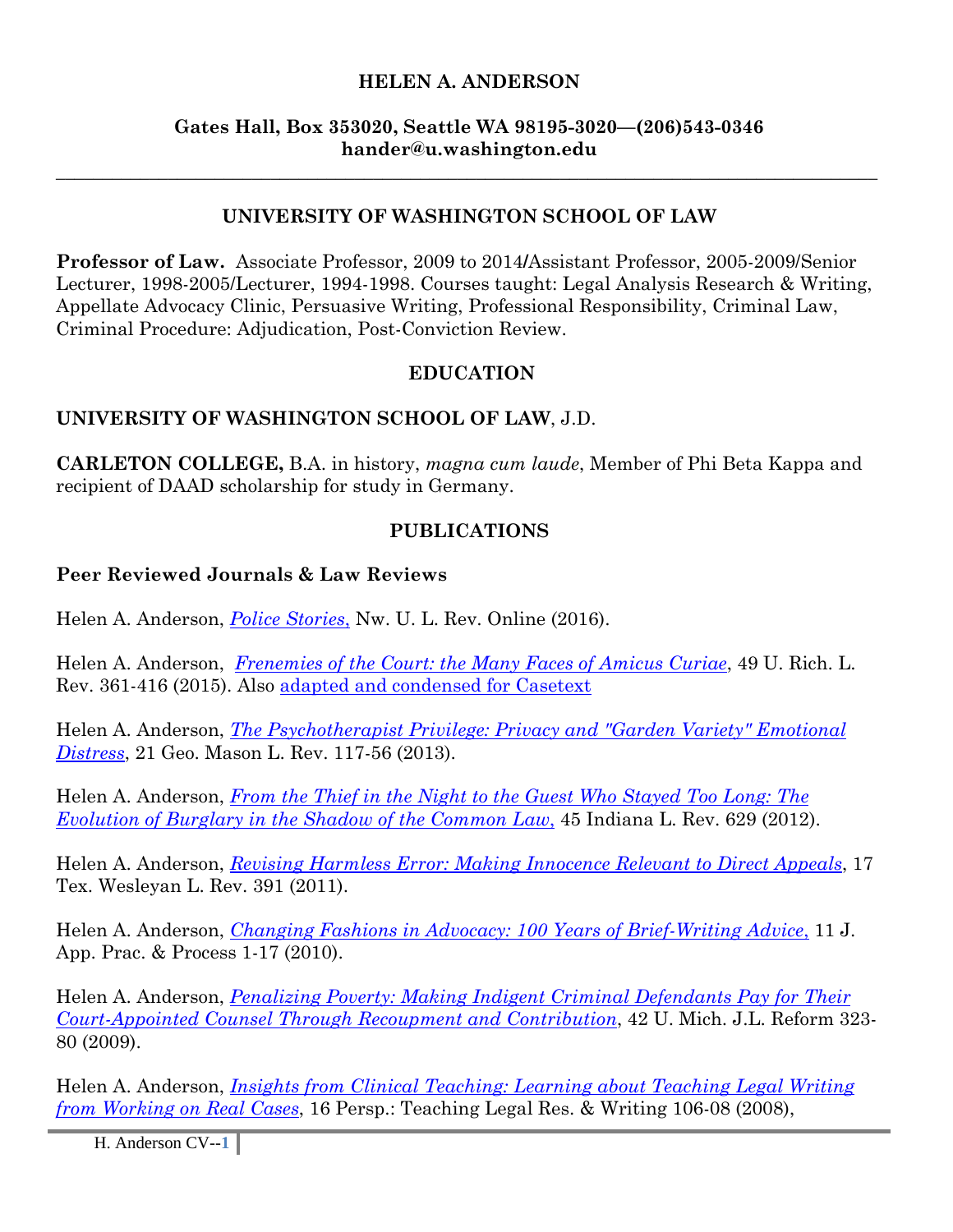#### **HELEN A. ANDERSON**

#### **Gates Hall, Box 353020, Seattle WA 98195-3020—(206)543-0346 hander@u.washington.edu**

### **UNIVERSITY OF WASHINGTON SCHOOL OF LAW**

\_\_\_\_\_\_\_\_\_\_\_\_\_\_\_\_\_\_\_\_\_\_\_\_\_\_\_\_\_\_\_\_\_\_\_\_\_\_\_\_\_\_\_\_\_\_\_\_\_\_\_\_\_\_\_\_\_\_\_\_\_\_\_\_\_\_\_\_\_\_\_\_\_\_\_\_\_\_\_\_\_\_\_\_\_\_\_\_

**Professor of Law.** Associate Professor, 2009 to 2014**/**Assistant Professor, 2005-2009/Senior Lecturer, 1998-2005/Lecturer, 1994-1998. Courses taught: Legal Analysis Research & Writing, Appellate Advocacy Clinic, Persuasive Writing, Professional Responsibility, Criminal Law, Criminal Procedure: Adjudication, Post-Conviction Review.

### **EDUCATION**

### **UNIVERSITY OF WASHINGTON SCHOOL OF LAW**, J.D.

**CARLETON COLLEGE,** B.A. in history, *magna cum laude*, Member of Phi Beta Kappa and recipient of DAAD scholarship for study in Germany.

### **PUBLICATIONS**

#### **Peer Reviewed Journals & Law Reviews**

Helen A. Anderson, *Police Stories*, Nw. U. L. Rev. Online (2016).

Helen A. Anderson, *Frenemies of the Court: the Many Faces of Amicus Curiae*, 49 U. Rich. L. Rev. 361-416 (2015). Also adapted and condensed for Casetext

Helen A. Anderson, *The Psychotherapist Privilege: Privacy and "Garden Variety" Emotional Distress*, 21 Geo. Mason L. Rev. 117-56 (2013).

Helen A. Anderson, *From the Thief in the Night to the Guest Who Stayed Too Long: The Evolution of Burglary in the Shadow of the Common Law*, 45 Indiana L. Rev. 629 (2012).

Helen A. Anderson, *Revising Harmless Error: Making Innocence Relevant to Direct Appeals*, 17 Tex. Wesleyan L. Rev. 391 (2011).

Helen A. Anderson, *Changing Fashions in Advocacy: 100 Years of Brief-Writing Advice*, 11 J. App. Prac. & Process 1-17 (2010).

Helen A. Anderson, *Penalizing Poverty: Making Indigent Criminal Defendants Pay for Their Court-Appointed Counsel Through Recoupment and Contribution*, 42 U. Mich. J.L. Reform 323- 80 (2009).

Helen A. Anderson, *Insights from Clinical Teaching: Learning about Teaching Legal Writing from Working on Real Cases*, 16 Persp.: Teaching Legal Res. & Writing 106-08 (2008),

H. Anderson CV--**1**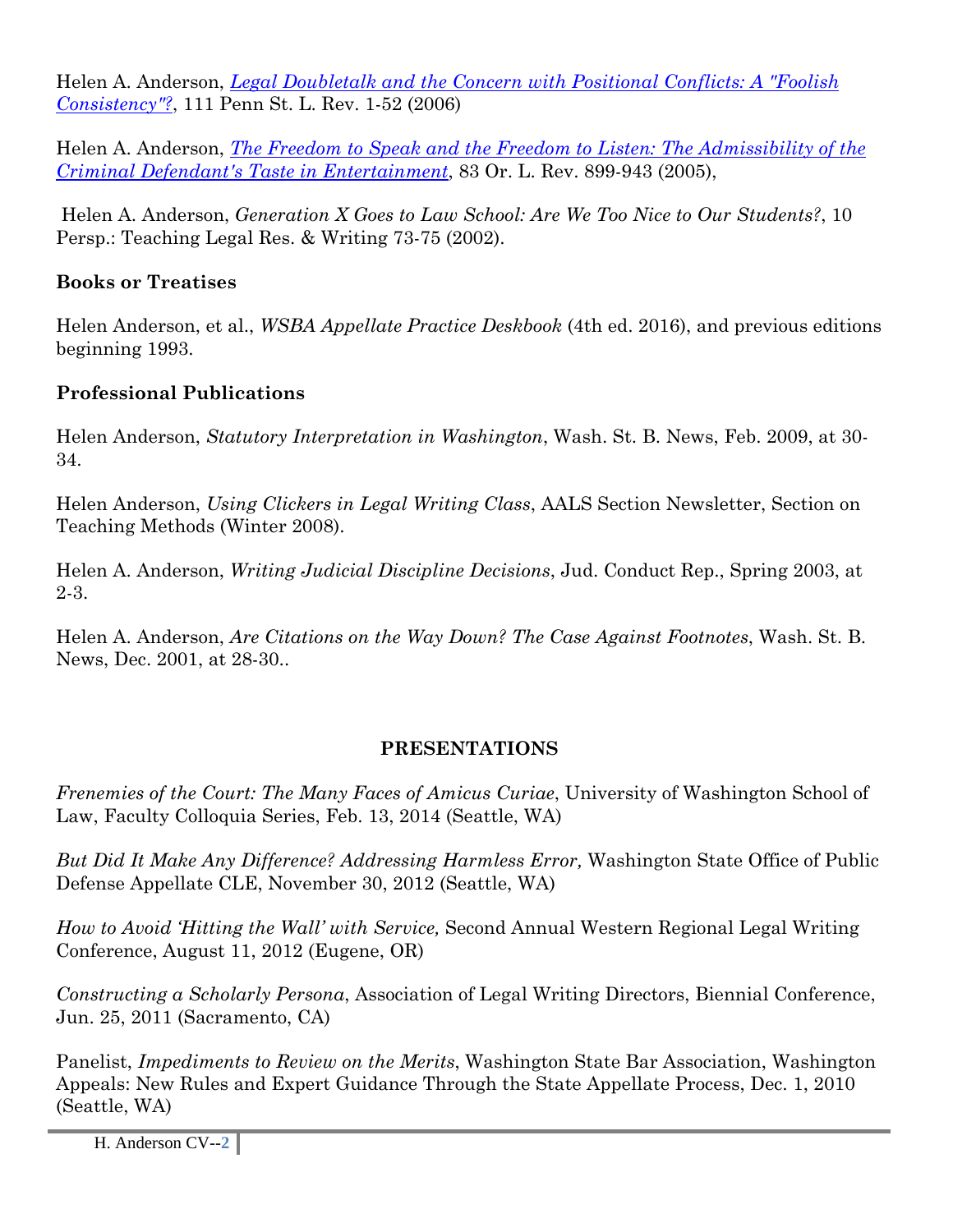Helen A. Anderson, *Legal Doubletalk and the Concern with Positional Conflicts: A "Foolish Consistency"?*, 111 Penn St. L. Rev. 1-52 (2006)

Helen A. Anderson, *The Freedom to Speak and the Freedom to Listen: The Admissibility of the Criminal Defendant's Taste in Entertainment*, 83 Or. L. Rev. 899-943 (2005),

 Helen A. Anderson, *Generation X Goes to Law School: Are We Too Nice to Our Students?*, 10 Persp.: Teaching Legal Res. & Writing 73-75 (2002).

# **Books or Treatises**

Helen Anderson, et al., *WSBA Appellate Practice Deskbook* (4th ed. 2016), and previous editions beginning 1993.

# **Professional Publications**

Helen Anderson, *Statutory Interpretation in Washington*, Wash. St. B. News, Feb. 2009, at 30- 34.

Helen Anderson, *Using Clickers in Legal Writing Class*, AALS Section Newsletter, Section on Teaching Methods (Winter 2008).

Helen A. Anderson, *Writing Judicial Discipline Decisions*, Jud. Conduct Rep., Spring 2003, at 2-3.

Helen A. Anderson, *Are Citations on the Way Down? The Case Against Footnotes*, Wash. St. B. News, Dec. 2001, at 28-30..

# **PRESENTATIONS**

*Frenemies of the Court: The Many Faces of Amicus Curiae*, University of Washington School of Law, Faculty Colloquia Series, Feb. 13, 2014 (Seattle, WA)

*But Did It Make Any Difference? Addressing Harmless Error,* Washington State Office of Public Defense Appellate CLE, November 30, 2012 (Seattle, WA)

*How to Avoid 'Hitting the Wall' with Service,* Second Annual Western Regional Legal Writing Conference, August 11, 2012 (Eugene, OR)

*Constructing a Scholarly Persona*, Association of Legal Writing Directors, Biennial Conference, Jun. 25, 2011 (Sacramento, CA)

Panelist, *Impediments to Review on the Merits*, Washington State Bar Association, Washington Appeals: New Rules and Expert Guidance Through the State Appellate Process, Dec. 1, 2010 (Seattle, WA)

H. Anderson CV--**2**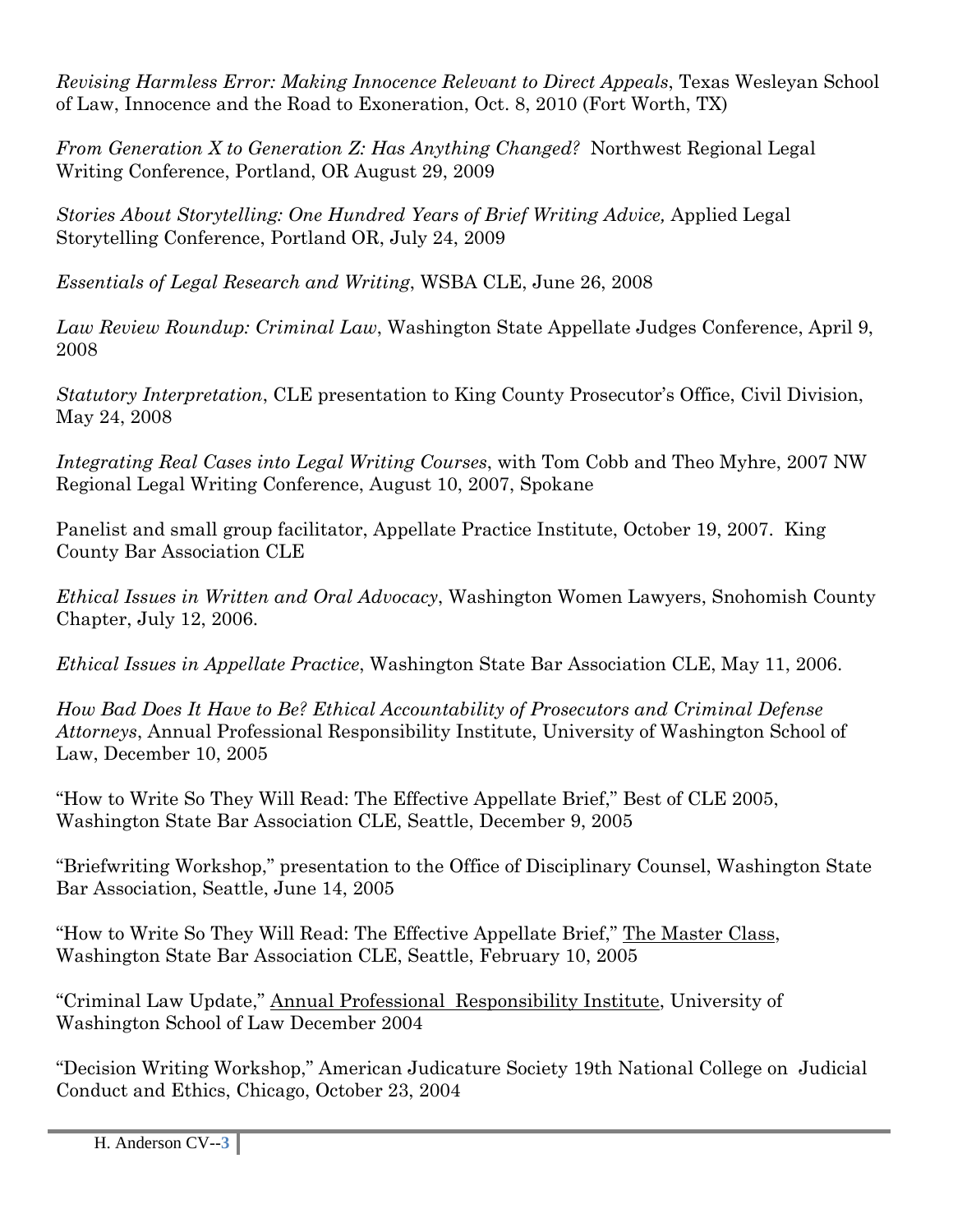*Revising Harmless Error: Making Innocence Relevant to Direct Appeals*, Texas Wesleyan School of Law, Innocence and the Road to Exoneration, Oct. 8, 2010 (Fort Worth, TX)

*From Generation X to Generation Z: Has Anything Changed?* Northwest Regional Legal Writing Conference, Portland, OR August 29, 2009

*Stories About Storytelling: One Hundred Years of Brief Writing Advice,* Applied Legal Storytelling Conference, Portland OR, July 24, 2009

*Essentials of Legal Research and Writing*, WSBA CLE, June 26, 2008

*Law Review Roundup: Criminal Law*, Washington State Appellate Judges Conference, April 9, 2008

*Statutory Interpretation*, CLE presentation to King County Prosecutor's Office, Civil Division, May 24, 2008

*Integrating Real Cases into Legal Writing Courses*, with Tom Cobb and Theo Myhre, 2007 NW Regional Legal Writing Conference, August 10, 2007, Spokane

Panelist and small group facilitator, Appellate Practice Institute, October 19, 2007. King County Bar Association CLE

*Ethical Issues in Written and Oral Advocacy*, Washington Women Lawyers, Snohomish County Chapter, July 12, 2006.

*Ethical Issues in Appellate Practice*, Washington State Bar Association CLE, May 11, 2006.

*How Bad Does It Have to Be? Ethical Accountability of Prosecutors and Criminal Defense Attorneys*, Annual Professional Responsibility Institute, University of Washington School of Law, December 10, 2005

"How to Write So They Will Read: The Effective Appellate Brief," Best of CLE 2005, Washington State Bar Association CLE, Seattle, December 9, 2005

"Briefwriting Workshop," presentation to the Office of Disciplinary Counsel, Washington State Bar Association, Seattle, June 14, 2005

"How to Write So They Will Read: The Effective Appellate Brief," The Master Class, Washington State Bar Association CLE, Seattle, February 10, 2005

"Criminal Law Update," Annual Professional Responsibility Institute, University of Washington School of Law December 2004

"Decision Writing Workshop," American Judicature Society 19th National College on Judicial Conduct and Ethics, Chicago, October 23, 2004